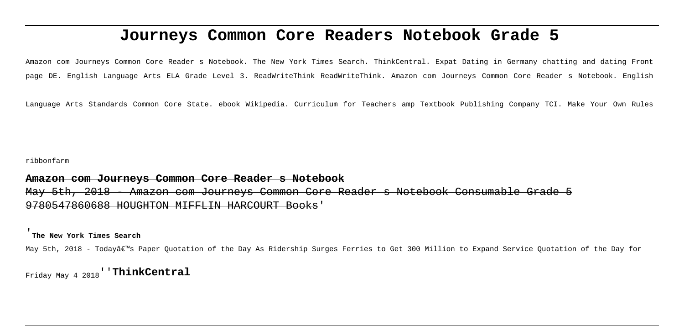# **Journeys Common Core Readers Notebook Grade 5**

Amazon com Journeys Common Core Reader s Notebook. The New York Times Search. ThinkCentral. Expat Dating in Germany chatting and dating Front page DE. English Language Arts ELA Grade Level 3. ReadWriteThink ReadWriteThink. Amazon com Journeys Common Core Reader s Notebook. English

Language Arts Standards Common Core State. ebook Wikipedia. Curriculum for Teachers amp Textbook Publishing Company TCI. Make Your Own Rules

ribbonfarm

## **Amazon com Journeys Common Core Reader s Notebook**

May 5th, 2018 - Amazon com Journeys Common Core Reader s Notebook Consumable 9780547860688 HOUGHTON MIFFLIN HARCOURT Books'

'**The New York Times Search**

May 5th, 2018 - Today's Paper Quotation of the Day As Ridership Surges Ferries to Get 300 Million to Expand Service Quotation of the Day for

Friday May 4 2018''**ThinkCentral**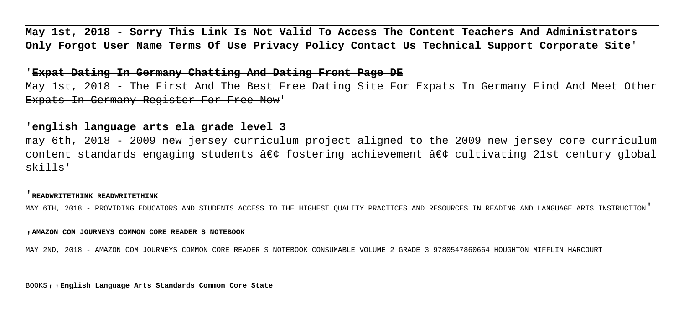**May 1st, 2018 - Sorry This Link Is Not Valid To Access The Content Teachers And Administrators Only Forgot User Name Terms Of Use Privacy Policy Contact Us Technical Support Corporate Site**'

#### '**Expat Dating In Germany Chatting And Dating Front Page DE**

May 1st, 2018 - The First And The Best Free Dating Site For Expats In Germany Find And Meet Other Expats In Germany Register For Free Now'

### '**english language arts ela grade level 3**

may 6th, 2018 - 2009 new jersey curriculum project aligned to the 2009 new jersey core curriculum content standards engaging students  $\hat{a}\in \hat{c}$  fostering achievement  $\hat{a}\in \hat{c}$  cultivating 21st century global skills'

#### '**READWRITETHINK READWRITETHINK**

MAY 6TH, 2018 - PROVIDING EDUCATORS AND STUDENTS ACCESS TO THE HIGHEST QUALITY PRACTICES AND RESOURCES IN READING AND LANGUAGE ARTS INSTRUCTION'

#### '**AMAZON COM JOURNEYS COMMON CORE READER S NOTEBOOK**

MAY 2ND, 2018 - AMAZON COM JOURNEYS COMMON CORE READER S NOTEBOOK CONSUMABLE VOLUME 2 GRADE 3 9780547860664 HOUGHTON MIFFLIN HARCOURT

BOOKS''**English Language Arts Standards Common Core State**